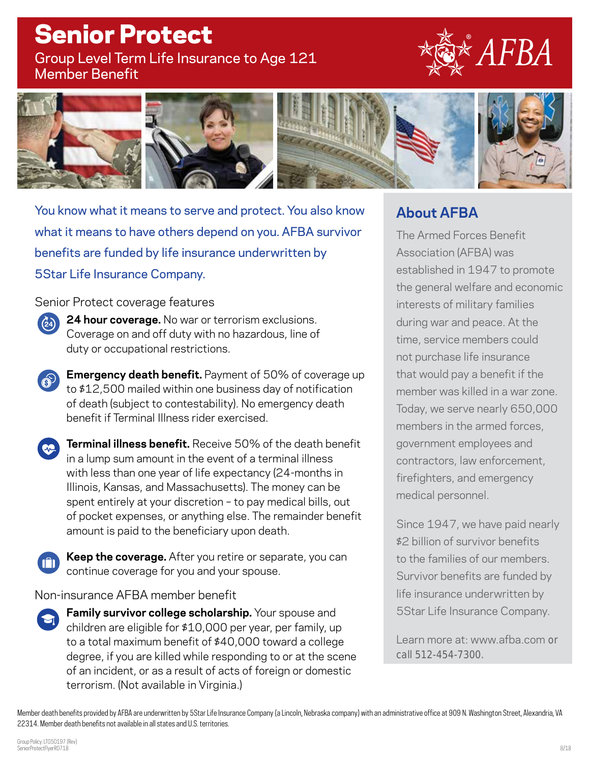# Senior Protect

Group Level Term Life Insurance to Age 121 Member Benefit





You know what it means to serve and protect. You also know what it means to have others depend on you. AFBA survivor benefits are funded by life insurance underwritten by 5Star Life Insurance Company.

Senior Protect coverage features

- **24 hour coverage.** No war or terrorism exclusions. Coverage on and off duty with no hazardous, line of duty or occupational restrictions.
- **Emergency death benefit.** Payment of 50% of coverage up to \$12,500 mailed within one business day of notification of death (subject to contestability). No emergency death benefit if Terminal Illness rider exercised.
- **Terminal illness benefit.** Receive 50% of the death benefit in a lump sum amount in the event of a terminal illness with less than one year of life expectancy (24-months in Illinois, Kansas, and Massachusetts). The money can be spent entirely at your discretion – to pay medical bills, out of pocket expenses, or anything else. The remainder benefit amount is paid to the beneficiary upon death.
- **Keep the coverage.** After you retire or separate, you can continue coverage for you and your spouse.

Non-insurance AFBA member benefit

**Family survivor college scholarship.** Your spouse and children are eligible for \$10,000 per year, per family, up to a total maximum benefit of \$40,000 toward a college degree, if you are killed while responding to or at the scene of an incident, or as a result of acts of foreign or domestic terrorism. (Not available in Virginia.)

## **About AFBA**

The Armed Forces Benefit Association (AFBA) was established in 1947 to promote the general welfare and economic interests of military families during war and peace. At the time, service members could not purchase life insurance that would pay a benefit if the member was killed in a war zone. Today, we serve nearly 650,000 members in the armed forces, government employees and contractors, law enforcement, firefighters, and emergency medical personnel.

Since 1947, we have paid nearly \$2 billion of survivor benefits to the families of our members. Survivor benefits are funded by life insurance underwritten by 5Star Life Insurance Company.

Learn more at: www.afba.com or call 512-454-7300.

Member death benefits provided by AFBA are underwritten by 5StarLife Insurance Company (a Lincoln, Nebraska company) with an administrative office at 909 N. Washington Street, Alexandria, VA 22314. Member death benefits not available in all states and U.S. territories.